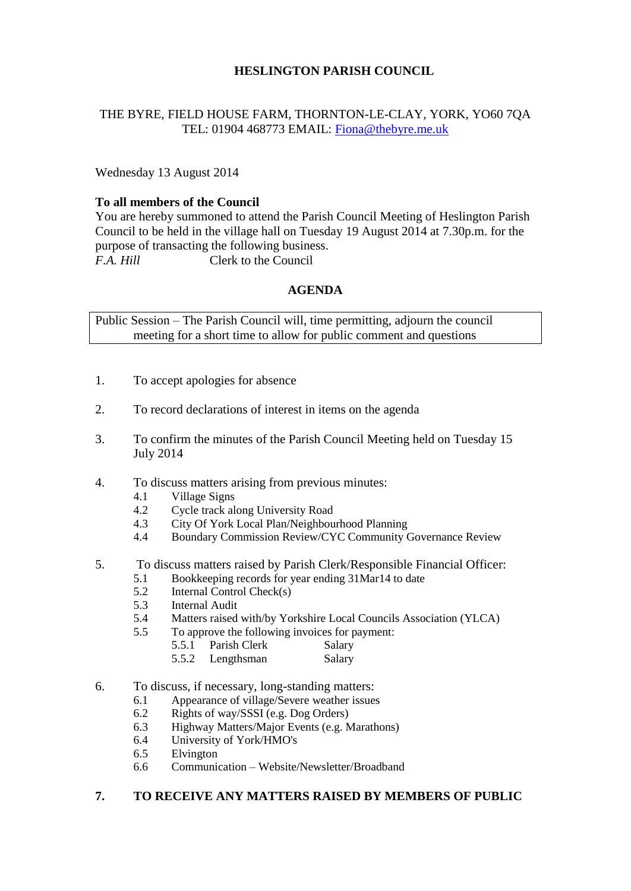# **HESLINGTON PARISH COUNCIL**

# THE BYRE, FIELD HOUSE FARM, THORNTON-LE-CLAY, YORK, YO60 7QA TEL: 01904 468773 EMAIL: [Fiona@thebyre.me.uk](mailto:Fiona@thebyre.me.uk)

Wednesday 13 August 2014

## **To all members of the Council**

You are hereby summoned to attend the Parish Council Meeting of Heslington Parish Council to be held in the village hall on Tuesday 19 August 2014 at 7.30p.m. for the purpose of transacting the following business. *F.A. Hill* Clerk to the Council

## **AGENDA**

Public Session – The Parish Council will, time permitting, adjourn the council meeting for a short time to allow for public comment and questions

- 1. To accept apologies for absence
- 2. To record declarations of interest in items on the agenda
- 3. To confirm the minutes of the Parish Council Meeting held on Tuesday 15 July 2014
- 4. To discuss matters arising from previous minutes:
	- 4.1 Village Signs
	- 4.2 Cycle track along University Road
	- 4.3 City Of York Local Plan/Neighbourhood Planning
	- 4.4 Boundary Commission Review/CYC Community Governance Review

### 5. To discuss matters raised by Parish Clerk/Responsible Financial Officer:

- 5.1 Bookkeeping records for year ending 31Mar14 to date
- 5.2 Internal Control Check(s)
- 5.3 Internal Audit
- 5.4 Matters raised with/by Yorkshire Local Councils Association (YLCA)
- 5.5 To approve the following invoices for payment:
	- 5.5.1 Parish Clerk Salary 5.5.2 Lengthsman Salary
- 
- 6. To discuss, if necessary, long-standing matters:
	- 6.1 Appearance of village/Severe weather issues
	- 6.2 Rights of way/SSSI (e.g. Dog Orders)
	- 6.3 Highway Matters/Major Events (e.g. Marathons)
	- 6.4 University of York/HMO's
	- 6.5 Elvington
	- 6.6 Communication Website/Newsletter/Broadband

## **7. TO RECEIVE ANY MATTERS RAISED BY MEMBERS OF PUBLIC**